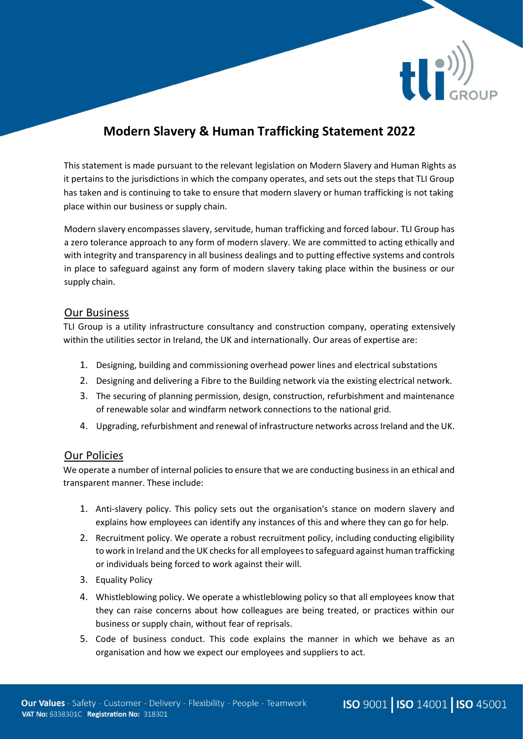

# **Modern Slavery & Human Trafficking Statement 2022**

This statement is made pursuant to the relevant legislation on Modern Slavery and Human Rights as it pertains to the jurisdictions in which the company operates, and sets out the steps that TLI Group has taken and is continuing to take to ensure that modern slavery or human trafficking is not taking place within our business or supply chain.

Modern slavery encompasses slavery, servitude, human trafficking and forced labour. TLI Group has a zero tolerance approach to any form of modern slavery. We are committed to acting ethically and with integrity and transparency in all business dealings and to putting effective systems and controls in place to safeguard against any form of modern slavery taking place within the business or our supply chain.

### Our Business

TLI Group is a utility infrastructure consultancy and construction company, operating extensively within the utilities sector in Ireland, the UK and internationally. Our areas of expertise are:

- 1. Designing, building and commissioning overhead power lines and electrical substations
- 2. Designing and delivering a Fibre to the Building network via the existing electrical network.
- 3. The securing of planning permission, design, construction, refurbishment and maintenance of renewable solar and windfarm network connections to the national grid.
- 4. Upgrading, refurbishment and renewal of infrastructure networks across Ireland and the UK.

#### Our Policies

We operate a number of internal policies to ensure that we are conducting business in an ethical and transparent manner. These include:

- 1. Anti-slavery policy. This policy sets out the organisation's stance on modern slavery and explains how employees can identify any instances of this and where they can go for help.
- 2. Recruitment policy. We operate a robust recruitment policy, including conducting eligibility to work in Ireland and the UK checks for all employees to safeguard against human trafficking or individuals being forced to work against their will.
- 3. Equality Policy
- 4. Whistleblowing policy. We operate a whistleblowing policy so that all employees know that they can raise concerns about how colleagues are being treated, or practices within our business or supply chain, without fear of reprisals.
- 5. Code of business conduct. This code explains the manner in which we behave as an organisation and how we expect our employees and suppliers to act.